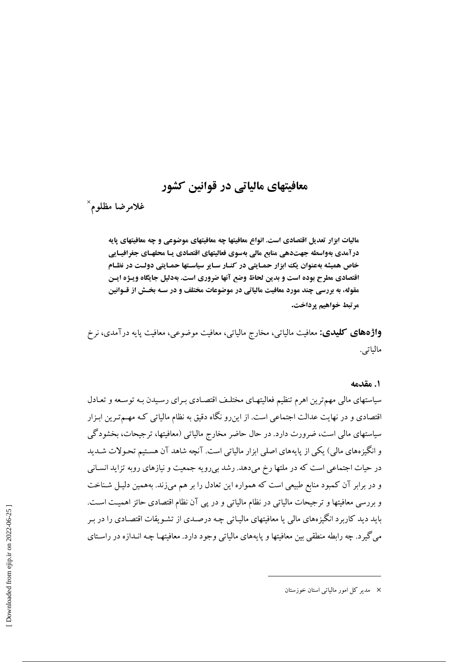# معافیتهای مالیاتی در قوانین کشور

غلامرضا مظلوم ``

مالیات ابزار تعدیل اقتصادی است. انواع معافیتها چه معافیتهای موضوعی و چه معافیتهای پایه درآمدی بهواسطه جهتدهی منابع مالی بهسوی فعالیتهای اقتصادی یـا محلهـای جغرافیـایی خاص همیشه بهعنوان یک ابزار حمـایتی در کنـار سـایر سیاسـتها حمـایتی دولـت در نظـام اقتصادی مطرح بوده است و بدین لحاظ وضع آنها ضروری است. بهدلیل جایگاه ویـژه ایـن مقوله، به بررسی چند مورد معافیت مالیاتی در موضوعات مختلف و در سـه بخـش از قـوانین مرتبط خواهيم يرداخت.

**واژههای کلیدی:** معافیت مالیاتی، مخارج مالیاتی، معافیت موضوعی، معافیت پایه درآمدی، نرخ مالياتي.

١. مقدمه

سیاستهای مالی مهم ترین اهرم تنظیم فعالیتهای مختلف اقتصادی بـرای رسـیدن بـه توسـعه و تعـادل اقتصادی و در نهایت عدالت اجتماعی است. از این رو نگاه دقیق به نظام مالیاتی کـه مهــمتـرین ابـزار سیاستهای مالی است، ضرورت دارد. در حال حاضر مخارج مالیاتی (معافیتها، ترجیحات، بخشودگی و انگیزههای مالی) یکی از پایههای اصلی ابزار مالیاتی است. آنچه شاهد آن هستیم تحـولات شـدید در حیات اجتماعی است که در ملتها رخ میدهد. رشد بی رویه جمعیت و نیازهای روبه تزاید انسـانی و در برابر آن کمبود منابع طبیعی است که همواره این تعادل را بر هم می;زند. بههمین دلیـل شـناخت و بررسی معافیتها و ترجیحات مالیاتی در نظام مالیاتی و در پی آن نظام اقتصادی حائز اهمیت است. باید دید کاربرد انگیزههای مالی یا معافیتهای مالیـاتی چـه درصـدی از تشـویقات اقتصـادی را در بـر مه گد د. چه رابطه منطقی بین معافیتها و پایههای مالیاتی وجود دارد. معافیتهـا چـه انـدازه در راسـتای

<sup>×</sup> مدیر کل امور مالیاتی استان خوزستان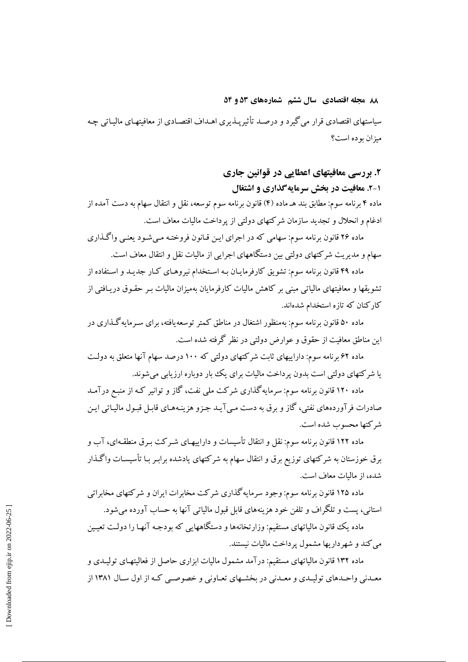۸۸ مجله اقتصادی سال ششم شمارههای ۵۳ و ۵۴ سیاستهای اقتصادی قرار می گیرد و درصـد تأثیرپـذیری اهـداف اقتصـادی از معافیتهـای مالیـاتی چـه ميزان بو ده است؟

> ۲. بررسی معافیتهای اعطایی در قوانین جاری ۱-۲. معافیت در بخش سرمایه گذاری و اشتغال

ماده ۴ برنامه سوم: مطابق بند هـ ماده (۴) قانون برنامه سوم توسعه، نقل و انتقال سهام به دست آمده از ادغام و انحلال و تجدید سازمان شرکتهای دولتی از پرداخت مالیات معاف است.

ماده ۲۶ قانون برنامه سوم: سهامي كه در اجراي اين قيانون فروختـه مـي شـود يعنـي واگـذاري سهام و مدیریت شرکتهای دولتی بین دستگاههای اجرایی از مالیات نقل و انتقال معاف است.

ماده ۴۹ قانون برنامه سوم: تشویق کارفرماییان بـه اسـتخدام نیروهـای کـار جدیـد و اسـتفاده از تشویقها و معافیتهای مالیاتی مبنی بر کاهش مالیات کارفرمایان بهمیزان مالیات بـر حقـوق دریـافتی از کارکنان که تازه استخدام شدهاند.

ماده ۵۰ قانون برنامه سوم: بهمنظور اشتغال در مناطق کمتر توسعه یافته، برای سـرمایهگذاری در این مناطق معافت از حقوق و عوارض دولتی در نظر گرفته شده است.

ماده ۶۲ برنامه سوم: داراییهای ثابت شرکتهای دولتی که ۱۰۰ درصد سهام آنها متعلق به دولت یا شرکتهای دولتی است بدون پرداخت مالیات برای یک بار دوباره ارزیابی می شوند.

ماده ۱۲۰ قانون برنامه سوم: سرمایه گذاری شرکت ملی نفت، گاز و توانیر کـه از منبـع درآمـد صادرات فرآوردههاي نفتي، گاز و برق به دست مـي آيـد جـزو هزينـههـاي قابـل قبـول ماليـاتي ايـن شركتها محسوب شده است.

ماده ۱۲۲ قانون برنامه سوم: نقل و انتقال تأسیسات و داراییهـای شــرکت بــرق منطقــهای، آب و برق خوزستان به شرکتهای توزیع برق و انتقال سهام به شرکتهای یادشده برابـر بـا تأسیسـات واگـذار شده، از مالیات معاف است.

ماده ۱۲۵ قانون برنامه سوم: وجود سرمایه گذاری شرکت مخابرات ایران و شرکتهای مخابراتی استانی، پست و تلگراف و تلفن خود هزینههای قابل قبول مالیاتی آنها به حساب آورده می شود.

ماده یک قانون مالیاتهای مستقیم: وزارتخانهها و دستگاههایی که بودجـه آنهـا را دولـت تعیـین می کند و شهر داریها مشمول پر داخت مالیات نیستند.

ماده ۱۳۲ قانون مالیاتهای مستقیم: درآمد مشمول مالیات ابزاری حاصل از فعالیتهـای تولیـدی و معـدني واحـدهاي توليـدي و معـدني در بخشـهاي تعـاوني و خصوصـي كـه از اول سـال ١٣٨١ از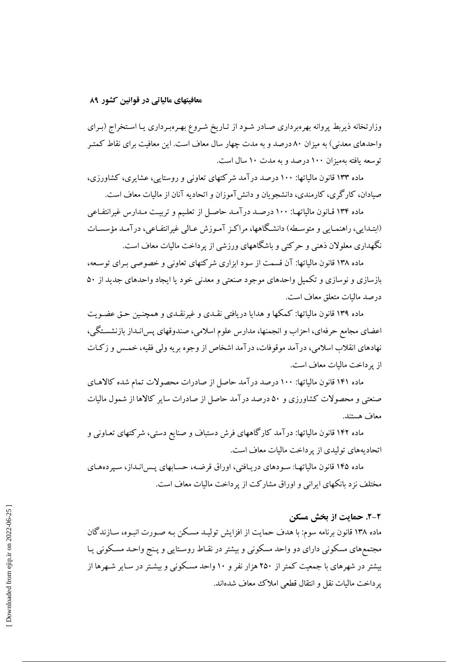وزارتخانه ذیربط پروانه بهرهبرداری صادر شود از تـاریخ شـروع بهـرهبـرداری یـا اسـتخراج (بـرای واحدهای معدنی) به میزان ۸۰ درصد و به مدت چهار سال معاف است. این معافیت برای نقاط کمتـر توسعه بافته بهميزان ١٠٠ درصد و به مدت ١٠ سال است.

ماده ۱۳۳ قانون مالیاتها: ۱۰۰ درصد درآمد شرکتهای تعاونی و روستایی، عشایری، کشاورزی، صیادان، کارگری، کارمندی، دانشجو پان و دانش آموزان و اتحادیه آنان از مالیات معاف است.

ماده ۱۳۴ قـانون مالياتهـا: ۱۰۰ درصـد درآمـد حاصـل از تعلـيم و تربيـت مـدارس غيرانتفـاعي (ابتـدایی، راهنمـایی و متوسـطه) دانشـگاهها، مراکـز آمـوزش عـالی غیرانتفـاعی، در آمـد مؤسسـات نگهداری معلولان ذهنی و حرکتی و باشگاههای ورزشی از پرداخت مالیات معاف است.

ماده ۱۳۸ قانون مالیاتها: آن قسمت از سود ابزاری شرکتهای تعاونی و خصوصی به ای توسعه، بازسازی و نوسازی و تکمیل واحدهای موجود صنعتی و معدنی خود یا ایجاد واحدهای جدید از ۵۰ در صد ماليات متعلق معاف است.

ماده ۱۳۹ قانون مالیاتها: کمکها و هدایا دریافتی نقـدی و غیرنقـدی و همچنـین حـق عضـویت اعضای مجامع حرفهای، احزاب و انجمنها، مدارس علوم اسلامی، صندوقهای پس|نـداز بازنشسـتگی، نهادهای انقلاب اسلامی، در آمد موقوفات، در آمد اشخاص از وجوه بر یه ولی فقیه، خمس و زکیات از پر داخت مالیات معاف است.

ماده ۱۴۱ قانون مالیاتها: ۱۰۰ درصد درآمد حاصل از صادرات محصولات تمام شده کالاهـای صنعتی و محصولات کشاورزی و ۵۰ درصد درآمد حاصل از صادرات سایر کالاها از شمول مالیات معاف هستند.

ماده ۱۴۲ قانون مالیاتها: درآمد کارگاههای فرش دستباف و صنایع دستی، شرکتهای تعـاونی و اتحادیههای تولیدی از پرداخت مالیات معاف است.

ماده ۱۴۵ قانون مالیاتهـا: سـودهای دریـافتی، اوراق قرضـه، حسـابهای پـس|نـداز، سـپردههـای مختلف نزد بانکهای ایرانی و اوراق مشارکت از یرداخت مالیات معاف است.

## ٢-٢. حمايت از بخش مسكن

ماده ۱۳۸ قانون برنامه سوم: با هدف حمایت از افزایش تولیـد مسـکن بـه صـورت انبـوه، سـازندگان مجتمعهای مسکونی دارای دو واحد مسکونی و بیشتر در نقـاط روسـتایی و پـنج واحـد مسـکونی پـا بیشتر در شهرهای با جمعیت کمتر از ۲۵۰ هزار نفر و ۱۰ واحد مسکونی و بیشتر در سایر شـهرها از پرداخت ماليات نقل و انتقال قطعي املاك معاف شدهاند.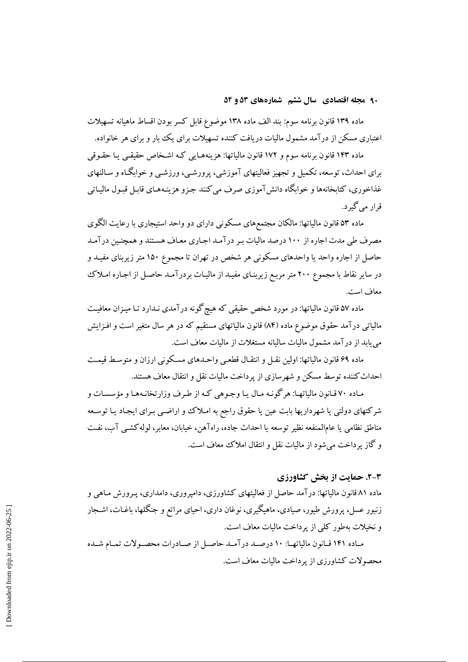۹۰ مجله اقتصادی سال ششم شمارههای ۵۳ و ۵۴

ماده ۱۳۹ قانون برنامه سوم: بند الف ماده ۱۳۸ موضوع قابل کسر بودن اقساط ماهیانه تسهیلات اعتباری مسکن از درآمد مشمول مالیات دریافت کننده تسهیلات برای یک بار و برای هر خانواده.

ماده ۱۴۳ قانون برنامه سوم و ۱۷۲ قانون مالیاتها: هزینههـایی کـه اشـخاص حقیقـی یـا حقـوقی برای احداث، توسعه، تکمیل و تجهیز فعالیتهای آموزشی، پرورشـی، ورزشـی و خوابگـاه و سـالنهای غذاخوري، كتابخانهها و خوابگاه دانش آموزي صرف مي كنند جـزو هزينـههـاي قابـل قبـول ماليـاتي قرار مے گیر د.

ماده ۵۳ قانون مالیاتها: مالکان مجتمعهای مسکونی دارای دو واحد استیجاری با رعایت الگوی مصرف طی مدت اجاره از ۱۰۰ درصد مالیات بـر در آمـد اجـاری معـاف هسـتند و همچنـین در آمـد حاصل از اجاره واحد یا واحدهای مسکونی هر شخص در تهران تا مجموع ۱۵۰ متر زیربنای مفیـد و در سایر نقاط با مجموع ۲۰۰ متر مربع زیربنای مفیـد از مالیـات بردرآمـد حاصـل از اجـاره امـلاک معاف است.

ماده ۵۷ قانون مالیاتها: در مورد شخص حقیقی که هیچگونه درآمدی نـدارد تـا میـزان معافیـت مالیاتی درآمد حقوق موضوع ماده (۸۴) قانون مالیاتهای مستقیم که در هر سال متغیر است و افـزایش می یابد از در آمد مشمول مالیات سالیانه مستغلات از مالیات معاف است.

ماده ۶۹ قانون مالیاتها: اولین نقبل و انتقبال قطعبی واحیدهای مسکونی ارزان و متوسط قیمت احداث کننده توسط مسکن و شهر سازی از یر داخت مالیات نقل و انتقال معاف هستند.

مـاده ۷۰ قـانون مالياتهـا: هرگونـه مـال يـا وجـوهي كـه از طـرف وزارتخانـههـا و مؤسسـات و شرکتهای دولتی یا شهرداریها بابت عین یا حقوق راجع به امـلاک و اراضـی بـرای ایجـاد یـا توسـعه مناطق نظامی یا عامالمنفعه نظیر توسعه یا احداث جاده، راهآهن، خیابان، معابر، لوله کشبی آب، نفت و گاز پرداخت می شود از مالیات نقل و انتقال املاک معاف است.

### 2-3. حمایت از پخش کشاورزی

ماده ۸۱ قانون مالیاتها: درآمد حاصل از فعالیتهای کشاورزی، دامپروری، دامداری، پـرورش مـاهی و زنبور عسل، پرورش طیور، صیادی، ماهیگیری، نوغان داری، احیای مراتع و جنگلها، باغـات، اشـجار و نخیلات بهطور کلمی از پرداخت مالیات معاف است.

مـاده ۱۴۱ قـانون مالياتهـا: ۱۰ درصـد درآمـد حاصـل از صـادرات محصـولات تمـام شـده محصولات كشاورزي از يرداخت ماليات معاف است.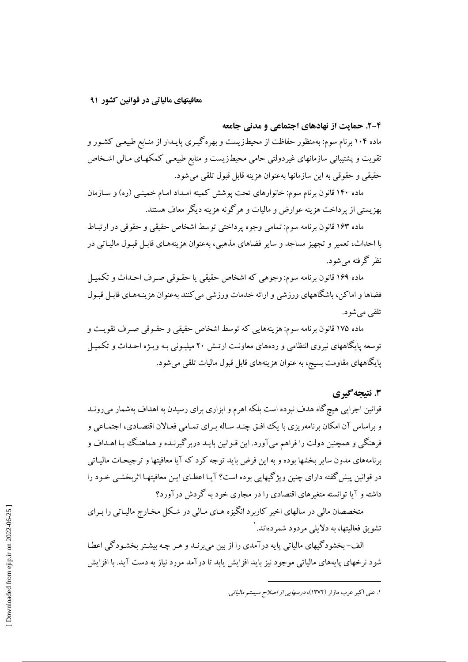۴-۲. حمایت از نهادهای اجتماعی و مدنی جامعه

ماده ۱۰۴ برنام سوم: بهمنظور حفاظت از محیطـزیست و بهرهگیـری پایـدار از منـابع طبیعـی کشـور و تقویت و پشتیبانی سازمانهای غیردولتی حامی محیطزیست و منابع طبیعی کمکهـای مـالی اشـخاص حقيقي و حقوقي به اين سازمانها بهعنوان هزينه قابل قبول تلقى مى شود.

ماده ۱۴۰ قانون برنام سوم: خانوارهای تحت پوشش کمیته امـداد امـام خمینـی (ره) و سـازمان بهزیستی از پرداخت هزینه عوارض و مالیات و هرگونه هزینه دیگر معاف هستند.

ماده ۱۶۳ قانون برنامه سوم: تمامی وجوه پرداختی توسط اشخاص حقیقی و حقوقی در ارتباط با احداث، تعمیر و تجهیز مساجد و سایر فضاهای مذهبی، بهعنوان هزینههـای قابـل قبـول مالیـاتی در نظر گرفته مے شود.

ماده ۱۶۹ قانون برنامه سوم: وجوهي كه اشخاص حقيقي يا حقبوقي صبرف احـداث و تكـميـل فضاها و اماکن، باشگاههای ورزشی و ارائه خدمات ورزشی می کنند بهعنوان هزینـههـای قابـل قبـول تلقے مے شو د.

ماده ۱۷۵ قانون برنامه سوم: هزینههایی که توسط اشخاص حقیقی و حقـوقی صـرف تقویـت و توسعه پایگاههای نیروی انتظامی و ردههای معاونت ارتـش ۲۰ میلیـونی بـه ویـژه احـداث و تکمیـل پایگاههای مقاومت بسیج، به عنوان هزینههای قابل قبول مالیات تلقی می شود.

### 3. نتيجه گيري

قوانین اجرایی هیچ گاه هدف نبوده است بلکه اهرم و ابزاری برای رسیدن به اهداف بهشمار می رونـد و براساس آن امکان برنامهریزی با یک افتی چنـد سـاله بـرای تمـامی فعـالان اقتصـادی، اجتمـاعی و فرهنگی و همچنین دولت را فراهم می آورد. این قـوانین بایـد دربر گیرنـده و هماهنـگ بـا اهـداف و برنامههای مدون سایر بخشها بوده و به این فرض باید توجه کرد که آیا معافیتها و ترجیحـات مالیـاتی در قوانین پیش گفته دارای چنین ویژگیهایی بوده است؟ آیـا اعطـای ایـن معافیتهـا اثربخشـی خـود را داشته و آیا توانسته متغیرهای اقتصادی را در مجاری خود به گردش در آورد؟

متخصصان مالی در سالهای اخیر کاربرد انگیزه هـای مـالی در شـکل مخـارج مالیـاتی را بـرای تشویق فعالیتها، به دلایلی مردود شمردهاند. ۱

الف-بخشودگیهای مالیاتی پایه درآمدی را از بین می برنـد و هـر چـه بیشـتر بخشـودگی اعطـا شود نرخهای پایههای مالیاتی موجود نیز باید افزایش پابد تا در آمد مورد نیاز به دست آید. با افزایش

۱. علی اکبر عرب مازار (۱۳۷۲)، *درسهایی از اصلاح سیستم مالیاتی.*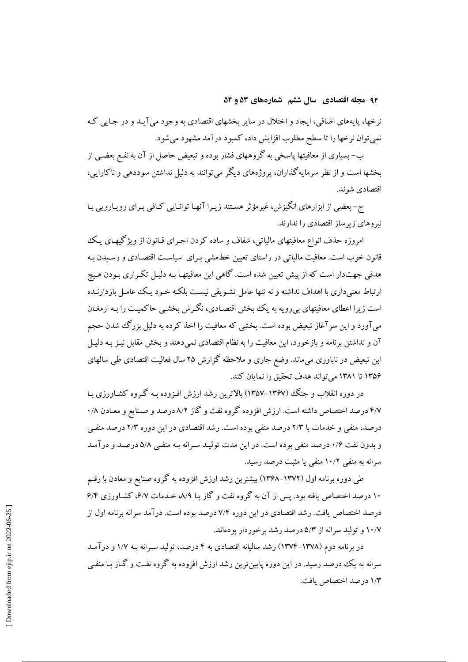۹۲ مجله اقتصادی سال ششم شمارههای ۵۳ و ۵۴

نرخها، پایههای اضافی، ایجاد و اختلال در سایر بخشهای اقتصادی به وجود می آیـد و در جـایـ کـه نمی توان نرخها را تا سطح مطلوب افزایش داد، کمبود درآمد مشهود میشود.

ب– بسیاری از معافیتها پاسخی به گروههای فشار بوده و تبعیض حاصل از آن به نفـع بعضـی از بخشها است و از نظر سرمایه گذاران، پروژههای دیگر می توانند به دلیل نداشتن سوددهی و ناکارایی، اقتصادی شوند.

ج- بعضی از ابزارهای انگیزش، غیرمؤثر هستند زیبرا آنهـا توانـایی کـافی بـرای رویـارویی بـا نیروهای زیرساز اقتصادی را ندارند.

امروزه حذف انواع معافیتهای مالیاتی، شفاف و ساده کردن اجـرای قـانون از ویژگیهـای یـک .<br>قانون خوب است. معافیت مالیاتی در راستای تعیین خط**مشی بـرای سیاسـت اقتصـادی و رسـیدن** بـه هدفی جهتدار است که از پیش تعیین شده است. گاهی این معافیتهـا بـه دلیـل تکـراری بـودن هـیچ ارتباط معنی داری با اهداف نداشته و نه تنها عامل تشـویقی نیسـت بلکـه خـود یـک عامـل بازدارنـده است زیرا اعطای معافیتهای بی رویه به یک بخش اقتصـادی، نگـرش بخشـی حاکمیـت را بـه ارمغـان می آورد و این سر آغاز تبعیض بوده است. بخشی که معافیت را اخذ کرده به دلیل بزرگ شدن حجم آن و نداشتن برنامه و بازخورد، این معافیت را به نظام اقتصادی نمی دهند و بخش مقابل نیـز بـه دلیـل این تبعیض در ناباوری می،ماند. وضع جاری و ملاحظه گزارش ۲۵ سال فعالیت اقتصادی طی سالهای ۱۳۵۶ تا ۱۳۸۱ می تواند هدف تحقیق را نمایان کند.

در دوره انقلاب و جنگ (۱۳۶۷–۱۳۵۷) بالاترین رشد ارزش افـزوده بـه گـروه کشـاورزی بـا ۴/۷ درصد اختصاص داشته است. ارزش افزوده گروه نفت و گاز ۸/۲ درصد و صـنایع و معـادن ۰/۸ درصد، منفی و خدمات با ۲/۳ درصد منفی بوده است. رشد اقتصادی در این دوره ۲/۳ درصد منفـی و بدون نفت ۱/۶ درصد منفی بوده است. در این مدت تولیـد سـرانه بـه منفـی ۵/۸ درصـد و درآمـد سرانه به منفی ۱۰/۲ منفی یا مثبت درصد رسید.

طی دوره برنامه اول (۱۳۷۲–۱۳۶۸) بیشترین رشد ارزش افزوده به گروه صنایع و معادن با رقسم ۱۰ درصد اختصاص یافته بود. پس از آن به گروه نفت و گاز یا ۸/۹، خیدمات ۶/۷، کشیاورزی ۶/۴ درصد اختصاص یافت. رشد اقتصادی در این دوره ۷/۴ درصد بوده است. درآمد سرانه برنامه اول از ۱۰/۷ و تولید سرانه از ۵/۳ درصد رشد برخوردار بودهاند.

در برنامه دوم (۱۳۷۸–۱۳۷۴) رشد سالیانه اقتصادی به ۴ درصد، تولید سـرانه بـه ۱/۷ و درآمـد سرانه به یک درصد رسید. در این دوره پایین ترین رشد ارزش افزوده به گروه نفت و گـاز بـا منفـی ۱/۳ در صد اختصاص بافت.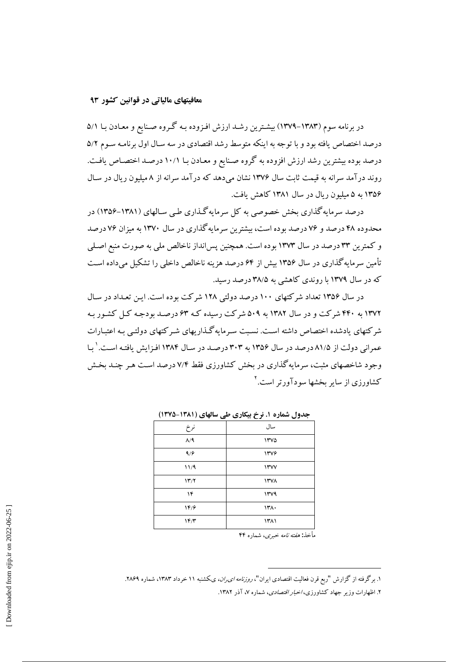### معافیتهای مالیاتی در قوانین کشور ۹۳

در برنامه سوم (۱۳۸۳–۱۳۷۹) بیشترین رشـد ارزش افـزوده بـه گـروه صـنایع و معـادن بـا ۵/۱ درصد اختصاص یافته بود و با توجه به اینکه متوسط رشد اقتصادی در سه سـال اول برنامـه سـوم ۵/۲ درصد بوده بیشترین رشد ارزش افزوده به گروه صـنایع و معـادن بـا ۱۰/۱ درصـد اختصـاص یافـت. روند درآمد سرانه به قیمت ثابت سال ۱۳۷۶ نشان میدهد که درآمد سرانه از ۸ میلیون ریال در سال ۱۳۵۶ به ۵ میلیون ریال در سال ۱۳۸۱ کاهش یافت.

درصد سرمایه گذاری بخش خصوصی به کل سرمایه گـذاری طبی سـالهای (۱۳۸۱-۱۳۵۶) در محدوده ۴۸ درصد و ۷۶ درصد بوده است، بیشترین سرمایه گذاری در سال ۱۳۷۰ به میزان ۷۶ درصد و کمترین ۳۳ درصد در سال ۱۳۷۳ بوده است. همچنین پس انداز ناخالص ملی به صورت منبع اصلی تأمین سرمایه گذاری در سال ۱۳۵۶ بیش از ۶۴ درصد هزینه ناخالص داخلی را تشکیل می داده است که در سال ۱۳۷۹ با روندی کاهشی به ۳۸/۵ درصد رسید.

در سال ۱۳۵۶ تعداد شرکتهای ۱۰۰ درصد دولتی ۱۲۸ شرکت بوده است. این تعبداد در سیال ۱۳۷۲ به ۴۴۰ شرکت و در سال ۱۳۸۲ به ۵۰۹ شرکت رسیده کـه ۶۳ درصـد بودجـه کـل کشـور بـه شر کتهای یادشده اختصاص داشته است. نسبت سـرمایهگـذاریهای شـر کتهای دولتـی بـه اعتبـارات عمرانی دولت از ۸۱/۵ درصد در سال ۱۳۵۶ به ۳۰۳ درصد در سال ۱۳۸۴ افزایش یافته است. <sup>۱</sup> با وجود شاخصهای مثبت، سرمایه گذاری در بخش کشاورزی فقط ۷/۴ درصد است هـر چنـد بخـش کشاورزی از سایر بخشها سودآورتر است.<sup>۲</sup>

| نرخ                  | سال   |
|----------------------|-------|
| $\Lambda/\mathsf{q}$ | ١٣٧٥  |
| 9/9                  | ١٣٧۶  |
| 11/9                 | 11.44 |
| 117/7                | ۱۳۷۸  |
| ۱۴                   | 144   |
| 18/9                 | ۱۳۸۰  |
| 1F/T                 | ۱۳۸۱  |
|                      |       |

جدول شماره ۱. نرخ بیکاری طی سالهای (۱۳۸۱-۱۳۷۵)

مأخذ: *هفته نامه خبري،* شماره ۴۴

۱. برگرفته از گزارش "ربع قرن فعالیت اقتصادی ایران"، *روزنامه ای ران، ی*کشنبه ۱۱ خرداد ۱۳۸۳، شماره ۲۸۶۹. ۲. اظهارات وزیر جهاد کشاورزی، *اخبار اقتصادی*، شماره ۷، آذر ۱۳۸۲.